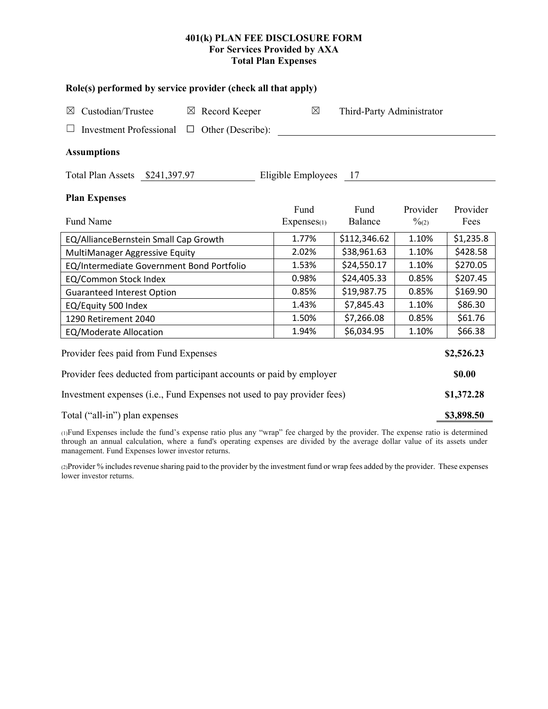# **401(k) PLAN FEE DISCLOSURE FORM For Services Provided by AXA Total Plan Expenses**

| Role(s) performed by service provider (check all that apply)            |                   |                         |                           |                               |                  |  |  |  |  |
|-------------------------------------------------------------------------|-------------------|-------------------------|---------------------------|-------------------------------|------------------|--|--|--|--|
| Custodian/Trustee<br>Record Keeper<br>$\boxtimes$<br>$\boxtimes$        |                   | $\boxtimes$             | Third-Party Administrator |                               |                  |  |  |  |  |
| <b>Investment Professional</b><br>$\Box$                                | Other (Describe): |                         |                           |                               |                  |  |  |  |  |
| <b>Assumptions</b>                                                      |                   |                         |                           |                               |                  |  |  |  |  |
| Total Plan Assets \$241,397.97                                          |                   | Eligible Employees 17   |                           |                               |                  |  |  |  |  |
| <b>Plan Expenses</b>                                                    |                   |                         |                           |                               |                  |  |  |  |  |
| Fund Name                                                               |                   | Fund<br>$Express_{(1)}$ | Fund<br>Balance           | Provider<br>$\frac{0}{2}$ (2) | Provider<br>Fees |  |  |  |  |
| EQ/AllianceBernstein Small Cap Growth                                   |                   | 1.77%                   | \$112,346.62              | 1.10%                         | \$1,235.8        |  |  |  |  |
| MultiManager Aggressive Equity                                          | 2.02%             | \$38,961.63             | 1.10%                     | \$428.58                      |                  |  |  |  |  |
| EQ/Intermediate Government Bond Portfolio                               | 1.53%             | \$24,550.17             | 1.10%                     | \$270.05                      |                  |  |  |  |  |
| EQ/Common Stock Index                                                   | 0.98%             | \$24,405.33             | 0.85%                     | \$207.45                      |                  |  |  |  |  |
| <b>Guaranteed Interest Option</b>                                       | 0.85%             | \$19,987.75             | 0.85%                     | \$169.90                      |                  |  |  |  |  |
| EQ/Equity 500 Index                                                     | 1.43%             | \$7,845.43              | 1.10%                     | \$86.30                       |                  |  |  |  |  |
| 1290 Retirement 2040                                                    | 1.50%             | \$7,266.08              | 0.85%                     | \$61.76                       |                  |  |  |  |  |
| EQ/Moderate Allocation                                                  |                   | 1.94%                   | \$6,034.95                | 1.10%                         | \$66.38          |  |  |  |  |
| Provider fees paid from Fund Expenses                                   |                   |                         |                           |                               | \$2,526.23       |  |  |  |  |
| Provider fees deducted from participant accounts or paid by employer    |                   |                         |                           |                               |                  |  |  |  |  |
| Investment expenses (i.e., Fund Expenses not used to pay provider fees) |                   |                         |                           |                               |                  |  |  |  |  |
| Total ("all-in") plan expenses                                          |                   |                         |                           |                               |                  |  |  |  |  |

(1)Fund Expenses include the fund's expense ratio plus any "wrap" fee charged by the provider. The expense ratio is determined through an annual calculation, where a fund's operating expenses are divided by the average dollar value of its assets under management. Fund Expenses lower investor returns.

(2)Provider % includes revenue sharing paid to the provider by the investment fund or wrap fees added by the provider. These expenses lower investor returns.